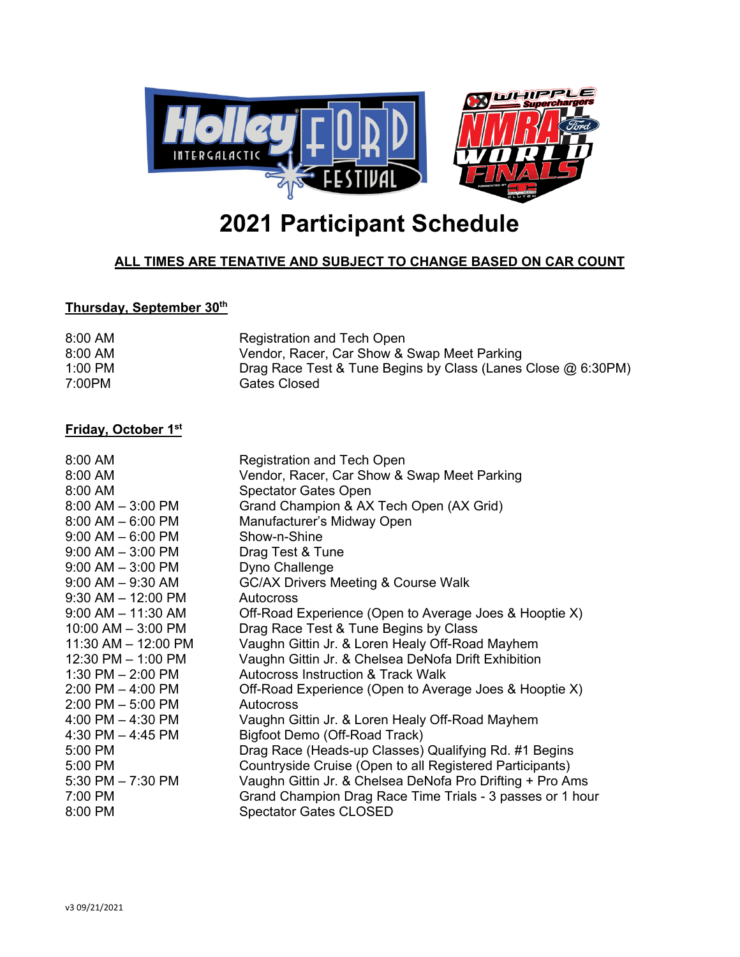

# **2021 Participant Schedule**

## **ALL TIMES ARE TENATIVE AND SUBJECT TO CHANGE BASED ON CAR COUNT**

#### **Thursday, September 30th**

| 8:00 AM   | Registration and Tech Open                                   |
|-----------|--------------------------------------------------------------|
| 8:00 AM   | Vendor, Racer, Car Show & Swap Meet Parking                  |
| $1:00$ PM | Drag Race Test & Tune Begins by Class (Lanes Close @ 6:30PM) |
| 7:00PM    | Gates Closed                                                 |

#### **Friday, October 1st**

| $8:00 \, \text{AM}$    | <b>Registration and Tech Open</b>                         |
|------------------------|-----------------------------------------------------------|
| 8:00 AM                | Vendor, Racer, Car Show & Swap Meet Parking               |
| 8:00 AM                | <b>Spectator Gates Open</b>                               |
| $8:00$ AM $-3:00$ PM   | Grand Champion & AX Tech Open (AX Grid)                   |
| $8:00$ AM $- 6:00$ PM  | Manufacturer's Midway Open                                |
| $9:00$ AM $-6:00$ PM   | Show-n-Shine                                              |
| $9:00$ AM $-3:00$ PM   | Drag Test & Tune                                          |
| $9:00$ AM $-3:00$ PM   | Dyno Challenge                                            |
| $9:00$ AM $-9:30$ AM   | <b>GC/AX Drivers Meeting &amp; Course Walk</b>            |
| $9:30$ AM $-12:00$ PM  | Autocross                                                 |
| $9:00$ AM $-$ 11:30 AM | Off-Road Experience (Open to Average Joes & Hooptie X)    |
| $10:00$ AM $-$ 3:00 PM | Drag Race Test & Tune Begins by Class                     |
| 11:30 AM - 12:00 PM    | Vaughn Gittin Jr. & Loren Healy Off-Road Mayhem           |
| $12:30$ PM $- 1:00$ PM | Vaughn Gittin Jr. & Chelsea DeNofa Drift Exhibition       |
| 1:30 PM $-$ 2:00 PM    | <b>Autocross Instruction &amp; Track Walk</b>             |
| $2:00$ PM $-$ 4:00 PM  | Off-Road Experience (Open to Average Joes & Hooptie X)    |
| $2:00$ PM $-5:00$ PM   | Autocross                                                 |
| 4:00 PM $-$ 4:30 PM    | Vaughn Gittin Jr. & Loren Healy Off-Road Mayhem           |
| 4:30 PM $-$ 4:45 PM    | Bigfoot Demo (Off-Road Track)                             |
| 5:00 PM                | Drag Race (Heads-up Classes) Qualifying Rd. #1 Begins     |
| 5:00 PM                | Countryside Cruise (Open to all Registered Participants)  |
| 5:30 PM $- 7:30$ PM    | Vaughn Gittin Jr. & Chelsea DeNofa Pro Drifting + Pro Ams |
| 7:00 PM                | Grand Champion Drag Race Time Trials - 3 passes or 1 hour |
| 8:00 PM                | <b>Spectator Gates CLOSED</b>                             |
|                        |                                                           |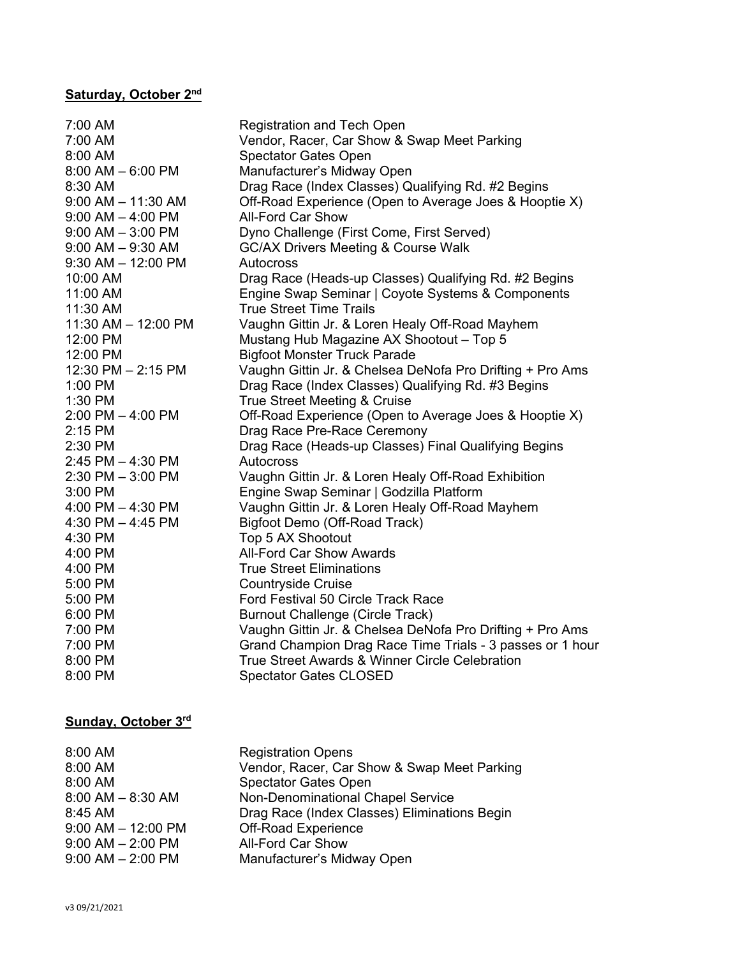# **Saturday, October 2nd**

| 7:00 AM                 | <b>Registration and Tech Open</b>                         |
|-------------------------|-----------------------------------------------------------|
| 7:00 AM                 | Vendor, Racer, Car Show & Swap Meet Parking               |
| 8:00 AM                 | <b>Spectator Gates Open</b>                               |
| $8:00$ AM $-6:00$ PM    | Manufacturer's Midway Open                                |
| 8:30 AM                 | Drag Race (Index Classes) Qualifying Rd. #2 Begins        |
| $9:00$ AM $-$ 11:30 AM  | Off-Road Experience (Open to Average Joes & Hooptie X)    |
| $9:00$ AM $-$ 4:00 PM   | <b>All-Ford Car Show</b>                                  |
| $9:00$ AM $-3:00$ PM    | Dyno Challenge (First Come, First Served)                 |
| $9:00$ AM $-9:30$ AM    | <b>GC/AX Drivers Meeting &amp; Course Walk</b>            |
| $9:30$ AM $- 12:00$ PM  | Autocross                                                 |
| 10:00 AM                | Drag Race (Heads-up Classes) Qualifying Rd. #2 Begins     |
| 11:00 AM                | Engine Swap Seminar   Coyote Systems & Components         |
| 11:30 AM                | <b>True Street Time Trails</b>                            |
| $11:30$ AM $- 12:00$ PM | Vaughn Gittin Jr. & Loren Healy Off-Road Mayhem           |
| 12:00 PM                | Mustang Hub Magazine AX Shootout - Top 5                  |
| 12:00 PM                | <b>Bigfoot Monster Truck Parade</b>                       |
| 12:30 PM - 2:15 PM      | Vaughn Gittin Jr. & Chelsea DeNofa Pro Drifting + Pro Ams |
| $1:00$ PM               | Drag Race (Index Classes) Qualifying Rd. #3 Begins        |
| 1:30 PM                 | True Street Meeting & Cruise                              |
| $2:00$ PM $-$ 4:00 PM   | Off-Road Experience (Open to Average Joes & Hooptie X)    |
| 2:15 PM                 | Drag Race Pre-Race Ceremony                               |
| 2:30 PM                 | Drag Race (Heads-up Classes) Final Qualifying Begins      |
| $2:45$ PM $-$ 4:30 PM   | Autocross                                                 |
| $2:30$ PM $-3:00$ PM    | Vaughn Gittin Jr. & Loren Healy Off-Road Exhibition       |
| $3:00$ PM               | Engine Swap Seminar   Godzilla Platform                   |
| 4:00 PM $-$ 4:30 PM     | Vaughn Gittin Jr. & Loren Healy Off-Road Mayhem           |
| 4:30 PM $-$ 4:45 PM     | Bigfoot Demo (Off-Road Track)                             |
| 4:30 PM                 | Top 5 AX Shootout                                         |
| 4:00 PM                 | <b>All-Ford Car Show Awards</b>                           |
| 4:00 PM                 | <b>True Street Eliminations</b>                           |
| 5:00 PM                 | <b>Countryside Cruise</b>                                 |
| 5:00 PM                 | Ford Festival 50 Circle Track Race                        |
| 6:00 PM                 | <b>Burnout Challenge (Circle Track)</b>                   |
| 7:00 PM                 | Vaughn Gittin Jr. & Chelsea DeNofa Pro Drifting + Pro Ams |
| 7:00 PM                 | Grand Champion Drag Race Time Trials - 3 passes or 1 hour |
| 8:00 PM                 | True Street Awards & Winner Circle Celebration            |
| 8:00 PM                 | <b>Spectator Gates CLOSED</b>                             |
|                         |                                                           |

### **Sunday, October 3rd**

| 8:00 AM                | <b>Registration Opens</b>                    |
|------------------------|----------------------------------------------|
| 8:00 AM                | Vendor, Racer, Car Show & Swap Meet Parking  |
| 8:00 AM                | <b>Spectator Gates Open</b>                  |
| $8:00$ AM $-$ 8:30 AM  | Non-Denominational Chapel Service            |
| 8:45 AM                | Drag Race (Index Classes) Eliminations Begin |
| $9:00$ AM $-$ 12:00 PM | Off-Road Experience                          |
| $9:00$ AM $- 2:00$ PM  | <b>All-Ford Car Show</b>                     |
| $9:00$ AM $- 2:00$ PM  | Manufacturer's Midway Open                   |